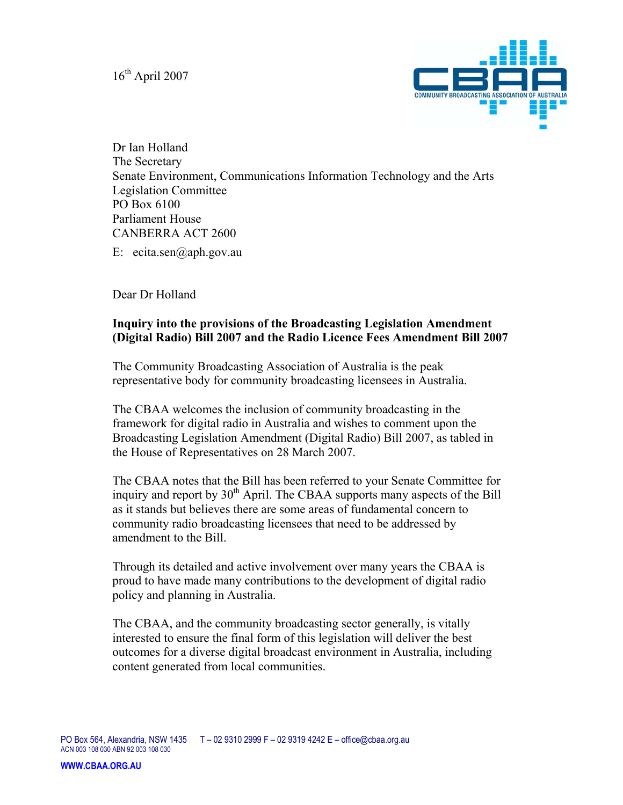$16^{th}$  April 2007



Dr Ian Holland The Secretary Senate Environment, Communications Information Technology and the Arts Legislation Committee PO Box 6100 Parliament House CANBERRA ACT 2600

E: ecita.sen@aph.gov.au

Dear Dr Holland

### **Inquiry into the provisions of the Broadcasting Legislation Amendment (Digital Radio) Bill 2007 and the Radio Licence Fees Amendment Bill 2007**

The Community Broadcasting Association of Australia is the peak representative body for community broadcasting licensees in Australia.

The CBAA welcomes the inclusion of community broadcasting in the framework for digital radio in Australia and wishes to comment upon the Broadcasting Legislation Amendment (Digital Radio) Bill 2007, as tabled in the House of Representatives on 28 March 2007.

The CBAA notes that the Bill has been referred to your Senate Committee for inquiry and report by  $30<sup>th</sup>$  April. The CBAA supports many aspects of the Bill as it stands but believes there are some areas of fundamental concern to community radio broadcasting licensees that need to be addressed by amendment to the Bill.

Through its detailed and active involvement over many years the CBAA is proud to have made many contributions to the development of digital radio policy and planning in Australia.

The CBAA, and the community broadcasting sector generally, is vitally interested to ensure the final form of this legislation will deliver the best outcomes for a diverse digital broadcast environment in Australia, including content generated from local communities.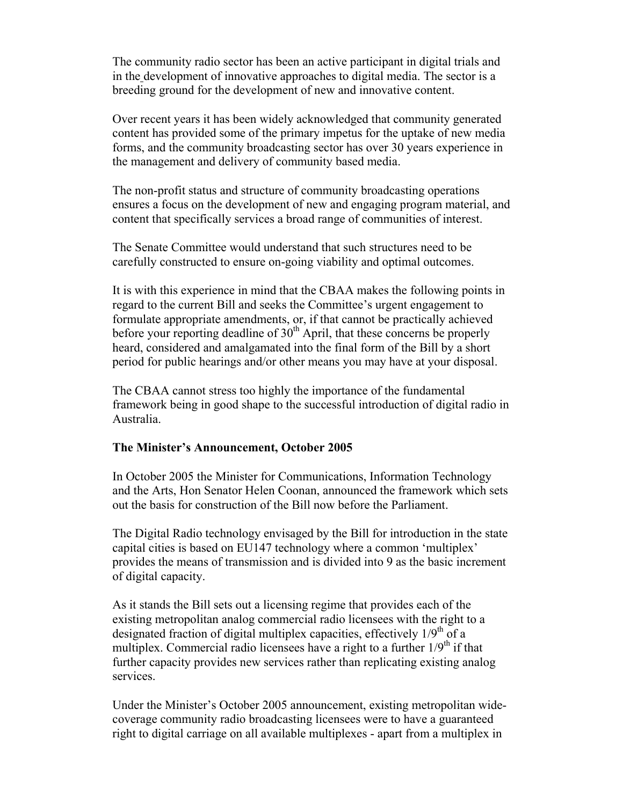The community radio sector has been an active participant in digital trials and in the development of innovative approaches to digital media. The sector is a breeding ground for the development of new and innovative content.

Over recent years it has been widely acknowledged that community generated content has provided some of the primary impetus for the uptake of new media forms, and the community broadcasting sector has over 30 years experience in the management and delivery of community based media.

The non-profit status and structure of community broadcasting operations ensures a focus on the development of new and engaging program material, and content that specifically services a broad range of communities of interest.

The Senate Committee would understand that such structures need to be carefully constructed to ensure on-going viability and optimal outcomes.

It is with this experience in mind that the CBAA makes the following points in regard to the current Bill and seeks the Committee's urgent engagement to formulate appropriate amendments, or, if that cannot be practically achieved before your reporting deadline of  $30<sup>th</sup>$  April, that these concerns be properly heard, considered and amalgamated into the final form of the Bill by a short period for public hearings and/or other means you may have at your disposal.

The CBAA cannot stress too highly the importance of the fundamental framework being in good shape to the successful introduction of digital radio in Australia.

# **The Minister's Announcement, October 2005**

In October 2005 the Minister for Communications, Information Technology and the Arts, Hon Senator Helen Coonan, announced the framework which sets out the basis for construction of the Bill now before the Parliament.

The Digital Radio technology envisaged by the Bill for introduction in the state capital cities is based on EU147 technology where a common 'multiplex' provides the means of transmission and is divided into 9 as the basic increment of digital capacity.

As it stands the Bill sets out a licensing regime that provides each of the existing metropolitan analog commercial radio licensees with the right to a designated fraction of digital multiplex capacities, effectively  $1/9<sup>th</sup>$  of a multiplex. Commercial radio licensees have a right to a further  $1/9<sup>th</sup>$  if that further capacity provides new services rather than replicating existing analog services.

Under the Minister's October 2005 announcement, existing metropolitan widecoverage community radio broadcasting licensees were to have a guaranteed right to digital carriage on all available multiplexes - apart from a multiplex in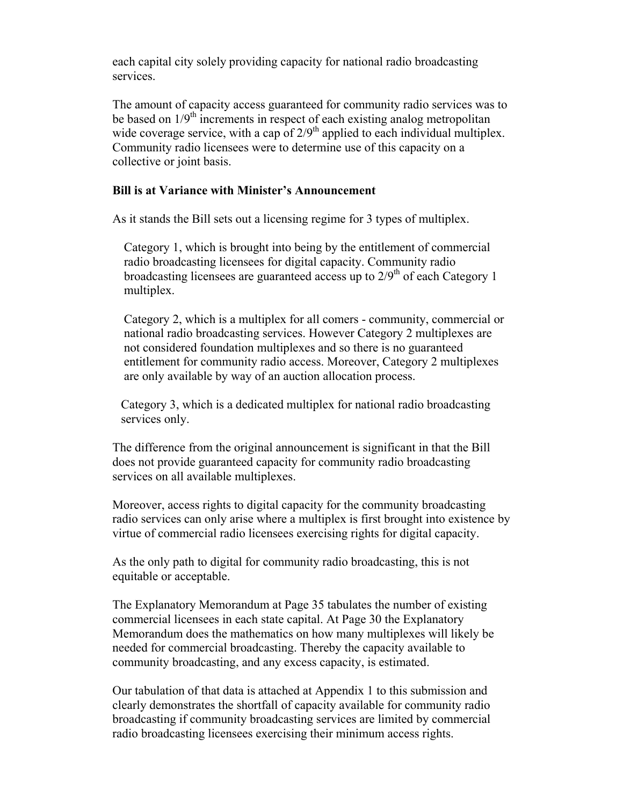each capital city solely providing capacity for national radio broadcasting services.

The amount of capacity access guaranteed for community radio services was to be based on  $1/9<sup>th</sup>$  increments in respect of each existing analog metropolitan wide coverage service, with a cap of  $2/9<sup>th</sup>$  applied to each individual multiplex. Community radio licensees were to determine use of this capacity on a collective or joint basis.

#### **Bill is at Variance with Minister's Announcement**

As it stands the Bill sets out a licensing regime for 3 types of multiplex.

Category 1, which is brought into being by the entitlement of commercial radio broadcasting licensees for digital capacity. Community radio broadcasting licensees are guaranteed access up to  $2/9<sup>th</sup>$  of each Category 1 multiplex.

Category 2, which is a multiplex for all comers - community, commercial or national radio broadcasting services. However Category 2 multiplexes are not considered foundation multiplexes and so there is no guaranteed entitlement for community radio access. Moreover, Category 2 multiplexes are only available by way of an auction allocation process.

Category 3, which is a dedicated multiplex for national radio broadcasting services only.

The difference from the original announcement is significant in that the Bill does not provide guaranteed capacity for community radio broadcasting services on all available multiplexes.

Moreover, access rights to digital capacity for the community broadcasting radio services can only arise where a multiplex is first brought into existence by virtue of commercial radio licensees exercising rights for digital capacity.

As the only path to digital for community radio broadcasting, this is not equitable or acceptable.

The Explanatory Memorandum at Page 35 tabulates the number of existing commercial licensees in each state capital. At Page 30 the Explanatory Memorandum does the mathematics on how many multiplexes will likely be needed for commercial broadcasting. Thereby the capacity available to community broadcasting, and any excess capacity, is estimated.

Our tabulation of that data is attached at Appendix 1 to this submission and clearly demonstrates the shortfall of capacity available for community radio broadcasting if community broadcasting services are limited by commercial radio broadcasting licensees exercising their minimum access rights.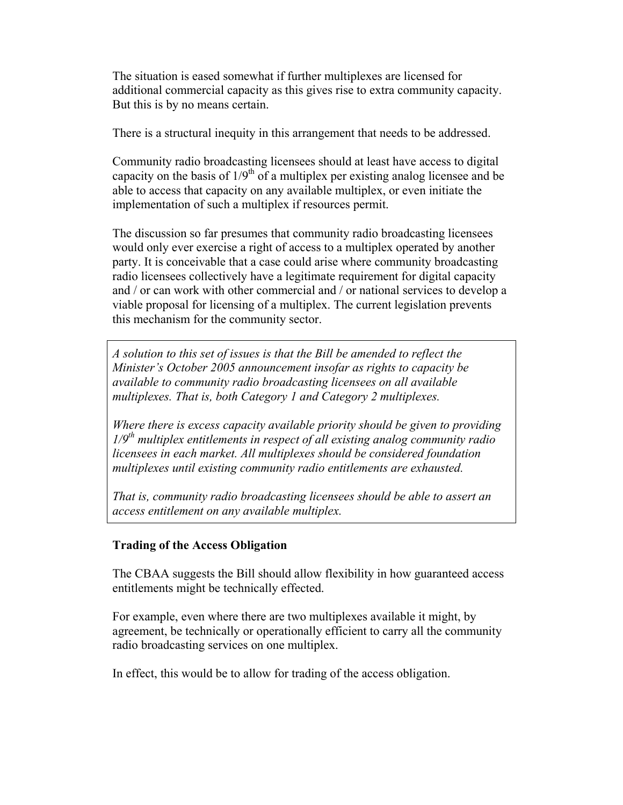The situation is eased somewhat if further multiplexes are licensed for additional commercial capacity as this gives rise to extra community capacity. But this is by no means certain.

There is a structural inequity in this arrangement that needs to be addressed.

Community radio broadcasting licensees should at least have access to digital capacity on the basis of  $1/9<sup>th</sup>$  of a multiplex per existing analog licensee and be able to access that capacity on any available multiplex, or even initiate the implementation of such a multiplex if resources permit.

The discussion so far presumes that community radio broadcasting licensees would only ever exercise a right of access to a multiplex operated by another party. It is conceivable that a case could arise where community broadcasting radio licensees collectively have a legitimate requirement for digital capacity and / or can work with other commercial and / or national services to develop a viable proposal for licensing of a multiplex. The current legislation prevents this mechanism for the community sector.

*A solution to this set of issues is that the Bill be amended to reflect the Minister's October 2005 announcement insofar as rights to capacity be available to community radio broadcasting licensees on all available multiplexes. That is, both Category 1 and Category 2 multiplexes.* 

*Where there is excess capacity available priority should be given to providing 1/9th multiplex entitlements in respect of all existing analog community radio licensees in each market. All multiplexes should be considered foundation multiplexes until existing community radio entitlements are exhausted.* 

*That is, community radio broadcasting licensees should be able to assert an access entitlement on any available multiplex.* 

# **Trading of the Access Obligation**

The CBAA suggests the Bill should allow flexibility in how guaranteed access entitlements might be technically effected.

For example, even where there are two multiplexes available it might, by agreement, be technically or operationally efficient to carry all the community radio broadcasting services on one multiplex.

In effect, this would be to allow for trading of the access obligation.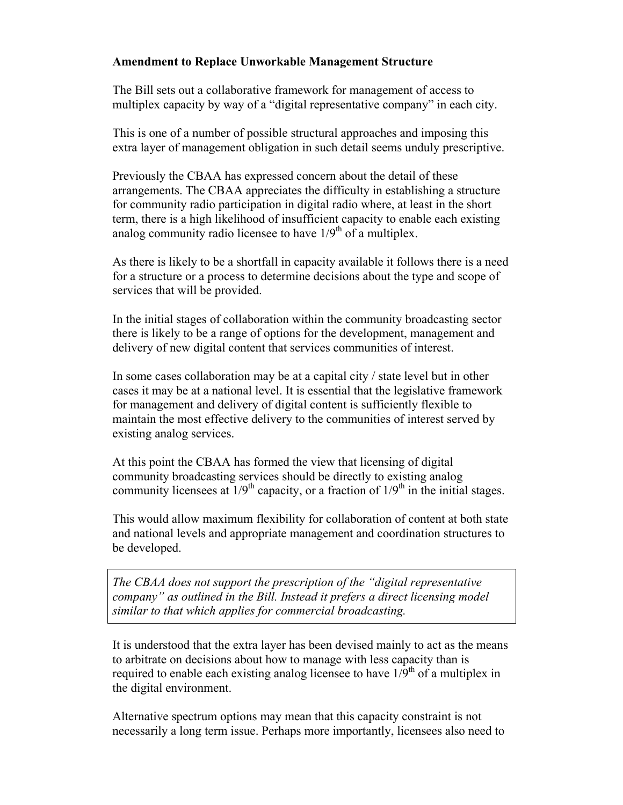### **Amendment to Replace Unworkable Management Structure**

The Bill sets out a collaborative framework for management of access to multiplex capacity by way of a "digital representative company" in each city.

This is one of a number of possible structural approaches and imposing this extra layer of management obligation in such detail seems unduly prescriptive.

Previously the CBAA has expressed concern about the detail of these arrangements. The CBAA appreciates the difficulty in establishing a structure for community radio participation in digital radio where, at least in the short term, there is a high likelihood of insufficient capacity to enable each existing analog community radio licensee to have  $1/9<sup>th</sup>$  of a multiplex.

As there is likely to be a shortfall in capacity available it follows there is a need for a structure or a process to determine decisions about the type and scope of services that will be provided.

In the initial stages of collaboration within the community broadcasting sector there is likely to be a range of options for the development, management and delivery of new digital content that services communities of interest.

In some cases collaboration may be at a capital city / state level but in other cases it may be at a national level. It is essential that the legislative framework for management and delivery of digital content is sufficiently flexible to maintain the most effective delivery to the communities of interest served by existing analog services.

At this point the CBAA has formed the view that licensing of digital community broadcasting services should be directly to existing analog community licensees at  $1/9<sup>th</sup>$  capacity, or a fraction of  $1/9<sup>th</sup>$  in the initial stages.

This would allow maximum flexibility for collaboration of content at both state and national levels and appropriate management and coordination structures to be developed.

*The CBAA does not support the prescription of the "digital representative company" as outlined in the Bill. Instead it prefers a direct licensing model similar to that which applies for commercial broadcasting.*

It is understood that the extra layer has been devised mainly to act as the means to arbitrate on decisions about how to manage with less capacity than is required to enable each existing analog licensee to have  $1/\overline{9}^{th}$  of a multiplex in the digital environment.

Alternative spectrum options may mean that this capacity constraint is not necessarily a long term issue. Perhaps more importantly, licensees also need to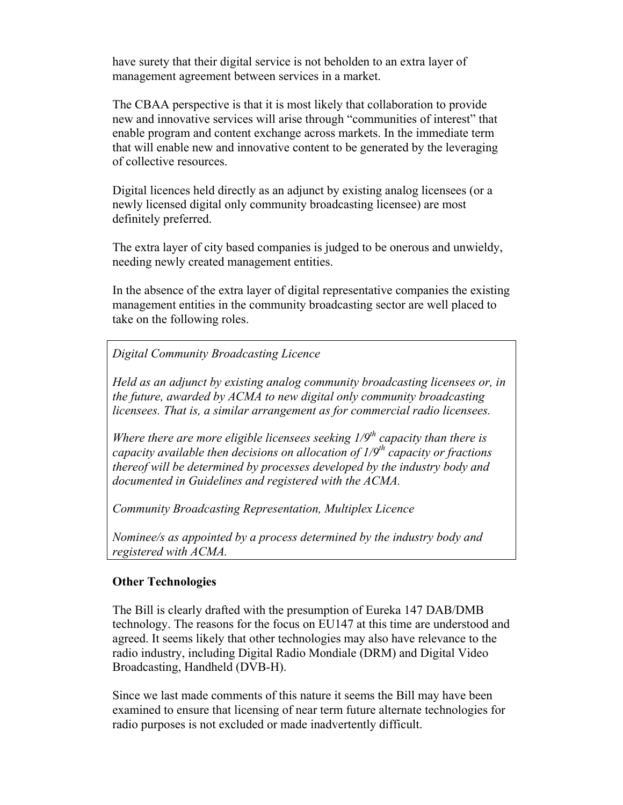have surety that their digital service is not beholden to an extra layer of management agreement between services in a market.

The CBAA perspective is that it is most likely that collaboration to provide new and innovative services will arise through "communities of interest" that enable program and content exchange across markets. In the immediate term that will enable new and innovative content to be generated by the leveraging of collective resources.

Digital licences held directly as an adjunct by existing analog licensees (or a newly licensed digital only community broadcasting licensee) are most definitely preferred.

The extra layer of city based companies is judged to be onerous and unwieldy, needing newly created management entities.

In the absence of the extra layer of digital representative companies the existing management entities in the community broadcasting sector are well placed to take on the following roles.

*Digital Community Broadcasting Licence* 

*Held as an adjunct by existing analog community broadcasting licensees or, in the future, awarded by ACMA to new digital only community broadcasting licensees. That is, a similar arrangement as for commercial radio licensees.* 

*Where there are more eligible licensees seeking*  $1/9<sup>th</sup>$  *capacity than there is capacity available then decisions on allocation of 1/9th capacity or fractions thereof will be determined by processes developed by the industry body and documented in Guidelines and registered with the ACMA.* 

*Community Broadcasting Representation, Multiplex Licence* 

*Nominee/s as appointed by a process determined by the industry body and registered with ACMA.* 

# **Other Technologies**

The Bill is clearly drafted with the presumption of Eureka 147 DAB/DMB technology. The reasons for the focus on EU147 at this time are understood and agreed. It seems likely that other technologies may also have relevance to the radio industry, including Digital Radio Mondiale (DRM) and Digital Video Broadcasting, Handheld (DVB-H).

Since we last made comments of this nature it seems the Bill may have been examined to ensure that licensing of near term future alternate technologies for radio purposes is not excluded or made inadvertently difficult.